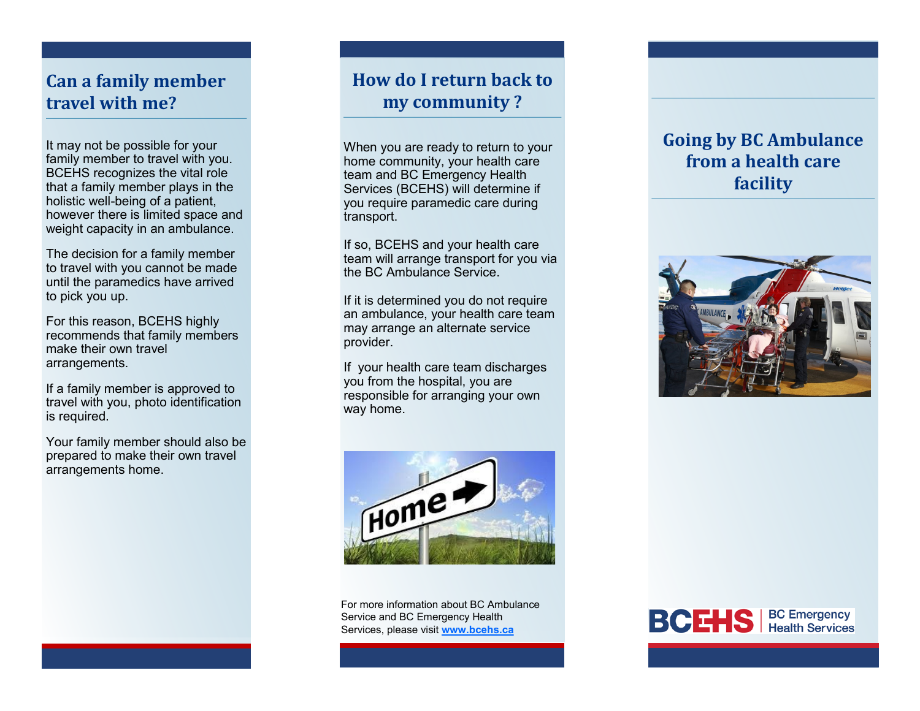### **Can a family member travel with me?**

It may not be possible for your family member to travel with you. BCEHS recognizes the vital role that a family member plays in the holistic well-being of a patient, however there is limited space and weight capacity in an ambulance.

The decision for a family member to travel with you cannot be made until the paramedics have arrived to pick you up.

For this reason, BCEHS highly recommends that family members make their own travel arrangements.

If a family member is approved to travel with you, photo identification is required.

Your family member should also be prepared to make their own travel arrangements home.

# **How do I return back to my community ?**

When you are ready to return to your home community, your health care team and BC Emergency Health Services (BCEHS) will determine if you require paramedic care during transport.

If so, BCEHS and your health care team will arrange transport for you via the BC Ambulance Service.

If it is determined you do not require an ambulance, your health care team may arrange an alternate service provider.

If your health care team discharges you from the hospital, you are responsible for arranging your own way home.



For more information about BC Ambulance Service and BC Emergency Health Services, please visit **www.bcehs.ca**

## **Going by BC Ambulance from a health care facility**